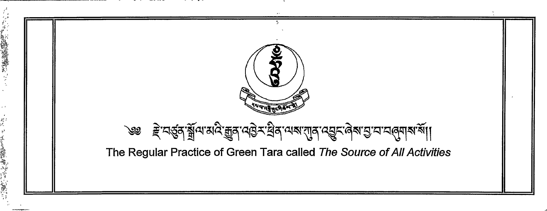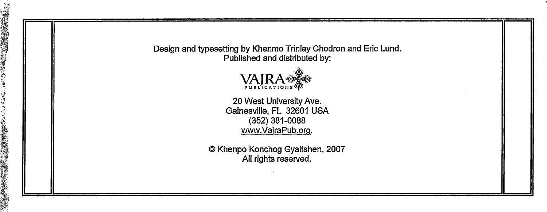Design and typesetting by Khenmo Trinlay Chodron and Eric Lund. Published and distributed by:



20 West University Ave. Gainesville, FL 32601 USA (352) 381-0088 www.VajraPub.org.

@Khenpo Konchog Gyaltshen, <sup>2007</sup> All rights reserved.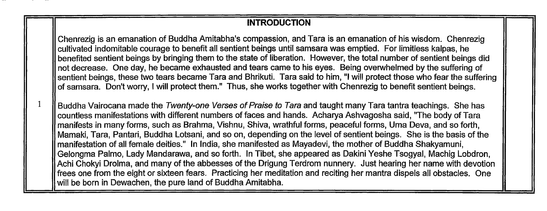### **INTRODUCTION**

Chenrezig is an emanation of Buddha Amitabha's compassion, and Tara is an emanation of his wisdom. Chenrezig cultivated indomitable courage to benefit all sentient beings until samsara was emptied. For limitless kalpas, he benefited sentient beings by bringing them to the state of liberation. However, the total number of sentient beings did not decrease. One day, he became exhausted and tears came to his eyes. Being overwhelmed by the suffering of sentient beings, these two tears became Tara and Bhrikuti. Tara said to him, "I will protect those who fear the suffering of samsara. Don't worry, <sup>I</sup> will protect them." Thus, she works together with Chenrezig to benefit sentient beings.

Buddha Vairocana made the *Twenty-one Verses ofPraise to Tara* and taught many Tara tantra teachings. She has countless manifestations with different numbers of faces and hands. Acharya Ashvagosha said. "The body of Tara manifests in many forms, such as Brahma, Vishnu, Shiva, wrathful forms, peaceful forms, Uma Deva, and so forth, Mamaki. Tara, Pantari, Buddha Lotsani, and so on, depending on the level of sentient beings. She is the basis of the Mamaki, Tara, Pantari, Buddha Lotsani, and so on, depending on the level of sentient beings. She is the basis of the<br>manifestation of all female deities." In India, she manifested as Mayadevi, the mother of Buddha Shakya |Gelongma Palmo, Lady Mandarawa, and so forth. In Tibet, she appeared as Dakini Yeshe Tsogyal, Machig Lobdron,<br>|Achi Chokvi Drolma, and many of the abbesses of the Drigung Terdrom nunnery. Just hearing her name with devo frees one from the eight or sixteen fears. Practicing her meditation and reciting her mantra dispels all obstacles. One will be born in Dewachen, the pure land of Buddha Amitabha.

1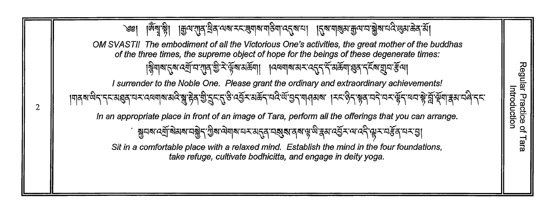### <u>।ଜ୍ୟୁ ଞ୍ଚା</u> |ફુત્પ:<sub>(</sub>गुव्'ख़ेव्'त्पब्परूर्द्ध्वपब्पबाडेषा'द्दुब्पद्म| ।{दुब्प्षबुब्ध्राङ्कुव्पद्मश्लेब्पद्मदेखुब्पळेव्'ब्रॅ| ্ঞ্ছা OM SVASTI! The embodiment of all the Victorious One's activities, the great mother of the buddhas of the three times, the supreme object of hope for the beings of these degenerate times: I surrender to the Noble One. Please grant the ordinary and extraordinary achievements! In an appropriate place in front of an image of Tara, perform all the offerings that you can arrange. Sit in a comfortable place with a relaxed mind. Establish the mind in the four foundations, take refuge, cultivate bodhicitta, and engage in deity yoga.

Regular  $\overline{5}$ troductic ractic Õ ara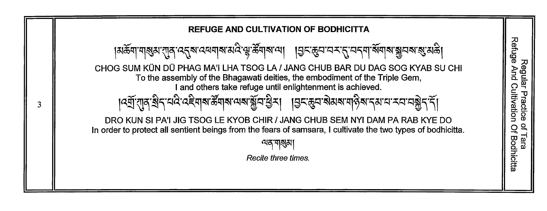

Recite three times.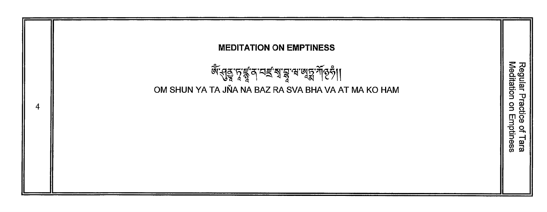## **MEDITATION ON EMPTINESS Regular P**<br>Meditation *ঋ্বি*ভ্ৰূ*ঁ* এই ব্লাই বিভিন্ন দ্বাৰ্থ <u>ব</u>িভিন্ন। OM SHUN YA TA JŇA NA BAZ RA SVA BHA VA AT MA KO HAM ap  $\mathbf{S}$  $\overline{4}$ ice Emp C tiness ara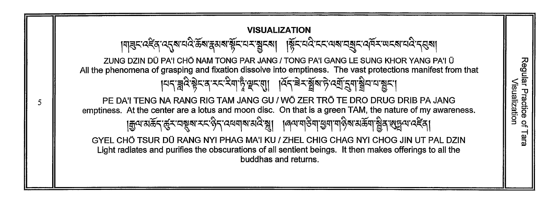#### **VISUALIZATION**

१୩३८:५६३:५५६४:५५४:ऊॅड्डाङ्क्ष्याञ्चेद्द्र्या स्थान्या ।क्लिंद्र्यादे दद्द्र्यायात्रु द्रायाद्वर्यायादे द्विषा ZUNG DZIN DÜ PA'I CHÖ NAM TONG PAR JANG / TONG PA'I GANG LE SUNG KHOR YANG PA'I Ü All the phenomena of grasping and fixation dissolve into emptiness. The vast protections manifest from that |ผราสู่ผิวจะสามมาที่ ดีแล้ว ได้ยางสามมายที่ สามมายที่ PE DA'I TENG NA RANG RIG TAM JANG GU / WÖ ZER TRÖ TE DRO DRUG DRIB PA JANG emptiness. At the center are a lotus and moon disc. On that is a green TAM, the nature of my awareness. |मुत्पाअर्केन् र्हुन् न्यूष्वान्त्र्य केन् व्यववाबाअवे ब्ल्या । बित्पावडिवा बुवा वडिबा अर्केवा ब्ल्युन्न व्यवह GYEL CHÖ TSUR DÜ RANG NYI PHAG MA'I KU / ZHEL CHIG CHAG NYI CHOG JIN UT PAL DZIN Light radiates and purifies the obscurations of all sentient beings. It then makes offerings to all the buddhas and returns.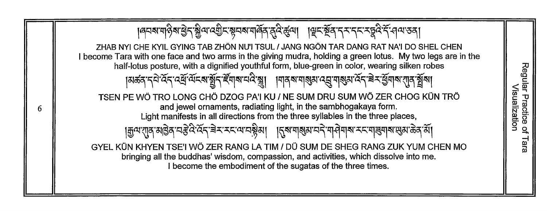## |ଜ୍ୟଷ୍ୟାନ୍ତିଷ୍ଟ୍ରମ୍ଭିୟାର୍ଥିଟ୍ୟୁସ୍ଷ୍ୟାର୍ଜ୍ୟି ଗୁର୍ଡ଼ି ଶ୍ରୀ||ଜ୍ୟୁ ସ୍ଥିବ୍ୟୁ ମ୍ୟୁ ମୁଦ୍ୟୁ ବିର୍ୟୁ ମ୍ୟୁ ସ୍ଥା

ZHAB NYI CHE KYIL GYING TAB ZHÖN NU'I TSUL / JANG NGÖN TAR DANG RAT NA'I DO SHEL CHEN <sup>I</sup> become Tara with one face and two arms in the giving mudra, holding a green lotus. My two legs are in the half-lotus posture, with <sup>a</sup> dignified youthful form, blue-green in color, wearing silken robes

|মৰ্ক্ক দ্মীৰ্ত্ত দেৱীৰ্ত্ত বিশ্বৰ সম্ভিদ্দিকী স্থানীৰ স্থানীৰ স্থানীৰ স্থানীৰ স্থানীৰ স্থানীৰ স্থানীৰ

TSEN PE WÖ TRO LONG CHÖ DZOG PA'I KU / NE SUM DRU SUM WÖ ZER CHOG KÜN TRÖ and jewel ornaments, radiating light, in the sambhogakaya form. Light manifests in all directions from the three syllables in the three places,

6

[क्रुप'राज्'अविज्'त्रङ्गेदे दिन्'बेन्'न्ट्र्य'तर्कुक्षा ।तुरूपाबुक्षा'त्रने पानिषाब्रन्ट्राबुबाबाणुक्षारुवाकी GYEL KÜN KHYEN TSE'I WÖ ZER RANG LA TIM / DÜ SUM DE SHEG RANG ZUK YUM CHEN MO bringing all the buddhas' wisdom, compassion, and activities, which dissolve into me. I become the embodiment of the sugatas of the three times.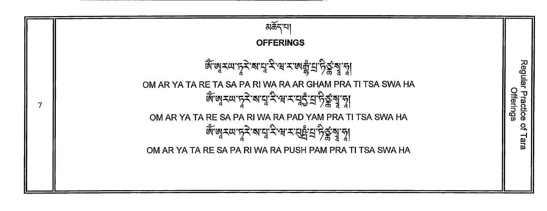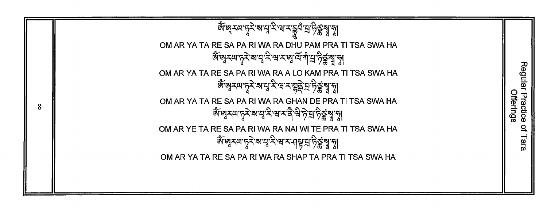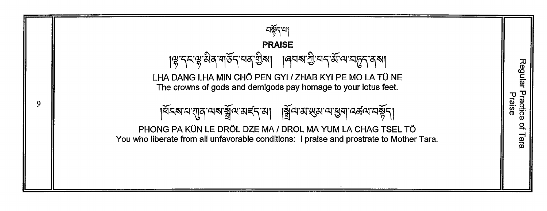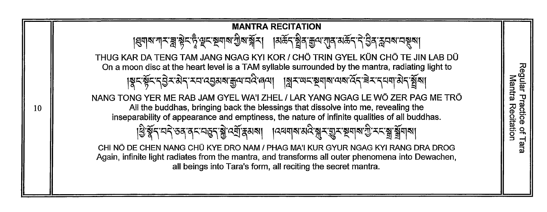

Regu<sub>tan</sub><br>Man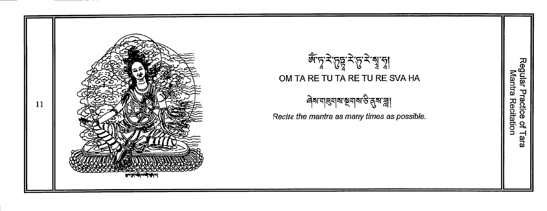

# ต้าราริเล OM TA RE TU TA RE TU RE SVA HA



Recite the mantra as many times as possible.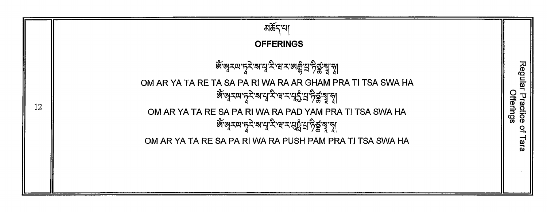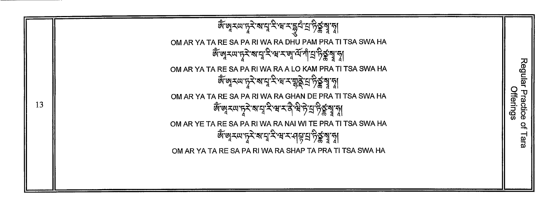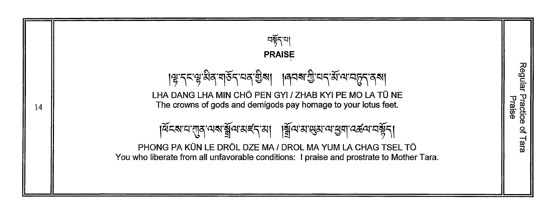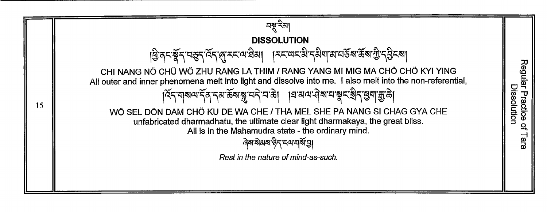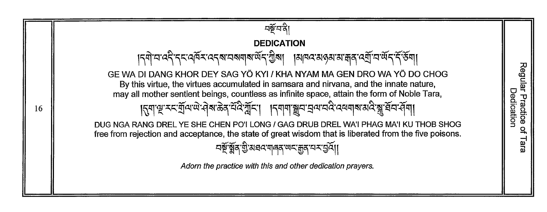| ਧਭੋਂ ਧਾਂਕੇ                                                                                                                                                                                                                                                     |                                          |
|----------------------------------------------------------------------------------------------------------------------------------------------------------------------------------------------------------------------------------------------------------------|------------------------------------------|
| <b>DEDICATION</b>                                                                                                                                                                                                                                              |                                          |
| । ব্রীমান্ত্রী বার্ত্রি বার্ত্র বার্ত্র বার্ত্র বার্ত্র বার্ত্র বার্ত্র বার্ত্র বার্ত্র বার্ত্র বার্ত্র বার্ত্                                                                                                                                                 | Regular<br>Dedicatior<br>ractice<br>lara |
| GE WA DI DANG KHOR DEY SAG YÖ KYI / KHA NYAM MA GEN DRO WA YÖ DO CHOG<br>By this virtue, the virtues accumulated in samsara and nirvana, and the innate nature,<br>may all mother sentient beings, countless as infinite space, attain the form of Noble Tara, |                                          |
| <b> तुषाभू रूद्र र्युजिग्लेख्रे सुरूद्र राज्य स्थान स्थान स्थान स्थान स्थान स्थान स्थान स्थान स्थान स्थान स्थान</b>                                                                                                                                            |                                          |
| DUG NGA RANG DREL YE SHE CHEN PO'I LONG / GAG DRUB DREL WA'I PHAG MA'I KU THOB SHOG<br>free from rejection and acceptance, the state of great wisdom that is liberated from the five poisons.<br>ଘইণ্ট্ৰৰ গ্ৰীসবৰ মাৰম অৱস্থা বিদ্যা                           |                                          |
| Adorn the practice with this and other dedication prayers.                                                                                                                                                                                                     |                                          |
|                                                                                                                                                                                                                                                                |                                          |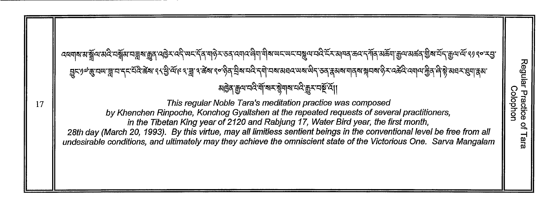This reqular Noble Tara's meditation practice was composed by Khenchen Rinpoche, Konchog Gyaltshen at the repeated requests of several practitioners,

in the Tibetan King year of 2120 and Rabjung 17, Water Bird year, the first month, 28th day (March 20, 1993). By this virtue, may all limitless sentient beings in the conventional level be free from all undesirable conditions, and ultimately may they achieve the omniscient state of the Victorious One. Sarva Mangalam

Regular ៑ Ō

෬ৰমৰামাৰ্শ্ববিদেৰ্শ্বনামন্ত্ৰমাত্ত্ৰমাত্ত্বৰেই অনৰ্দিৰ মাণ্টনতৰ বেমাবাৰীমাঅনঅনামন্ত্ৰীৰ কৰে দুৰ্বাৰ অনিয়ন্ত্ৰমাত্ৰ বিদ্যালয়ৰ বিদ্যালয়ৰ ক *ड़ॗॸॶ᠉*ॱक़ॖॗॸॺॱॾॣॱॸॱॸ॔ॸॖख़ॷॎख़ॖॱॶॷॎख़ॱॾॕॾॎख़ख़ख़ख़ख़ख़ख़ख़ख़ख़ख़ख़ख़ख़ख़ख़ख़ख़ख़ख़ख़ॵॷॸख़ॎख़ॷॸख़ख़ॷॴॷऻॳॷॴख़ॷऻॾॴ য়৾৾ঀৣ৾ঀ৾<sup>৻</sup>য়৸৻ৼ৻ৼ৻ৼ৻ৼ৻ৼ৻ৼ৻ৼ৻ৼ৻ৼ৻ৼ৻ৼ৻ৼ৻ৼ৻৸

lara